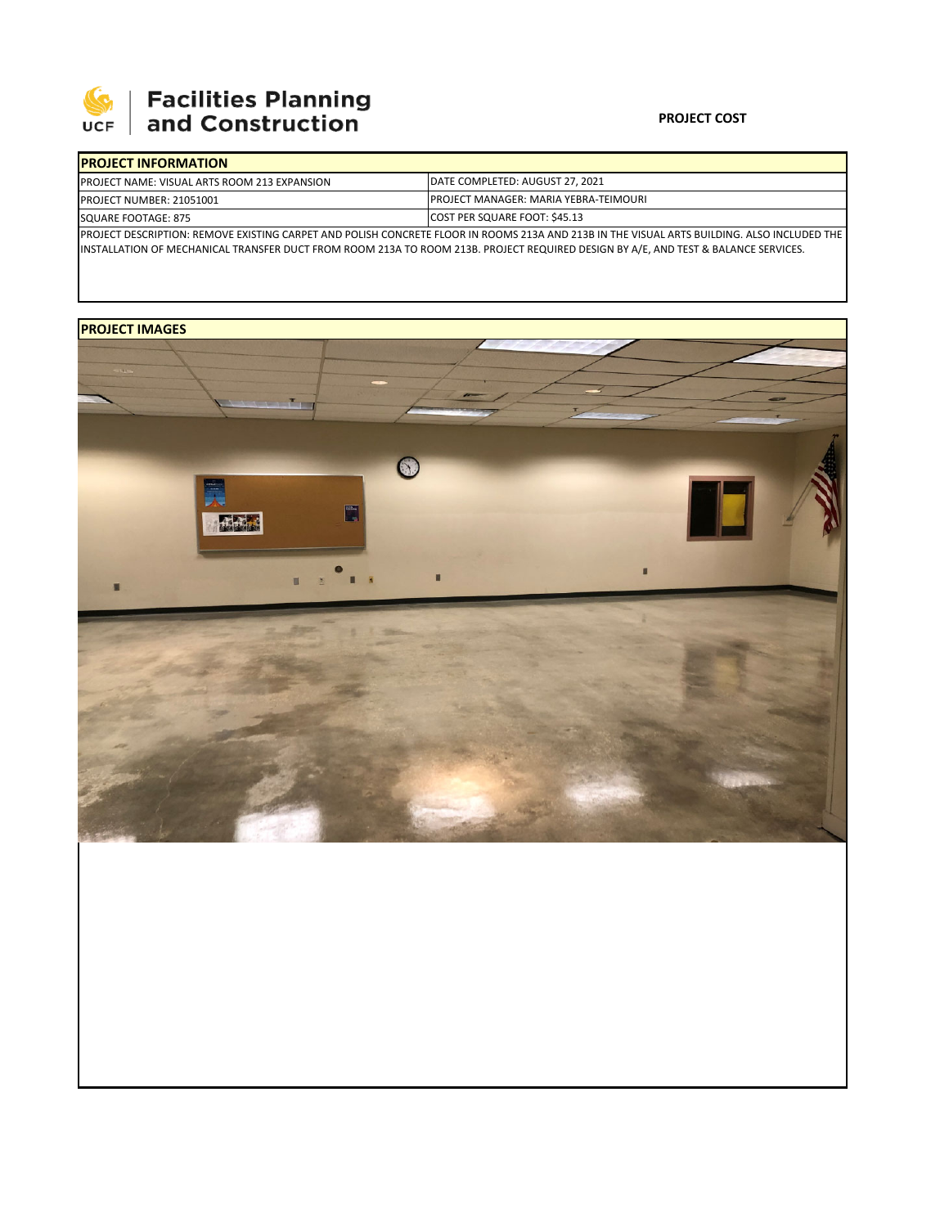

## **PROJECT COST**

| <b>IPROJECT INFORMATION</b>                         |                                                                                                                                              |  |  |  |
|-----------------------------------------------------|----------------------------------------------------------------------------------------------------------------------------------------------|--|--|--|
| <b>PROJECT NAME: VISUAL ARTS ROOM 213 EXPANSION</b> | DATE COMPLETED: AUGUST 27, 2021                                                                                                              |  |  |  |
| <b>PROJECT NUMBER: 21051001</b>                     | <b>PROJECT MANAGER: MARIA YEBRA-TEIMOURI</b>                                                                                                 |  |  |  |
| <b>SQUARE FOOTAGE: 875</b>                          | COST PER SQUARE FOOT: \$45.13                                                                                                                |  |  |  |
|                                                     | IPROJECT DESCRIPTION: REMOVE EXISTING CARPET AND POLISH CONCRETE FLOOR IN ROOMS 213A AND 213B IN THE VISUAL ARTS BUILDING. ALSO INCLUDED THE |  |  |  |

INSTALLATION OF MECHANICAL TRANSFER DUCT FROM ROOM 213A TO ROOM 213B. PROJECT REQUIRED DESIGN BY A/E, AND TEST & BALANCE SERVICES.

## **PROJECT IMAGES**